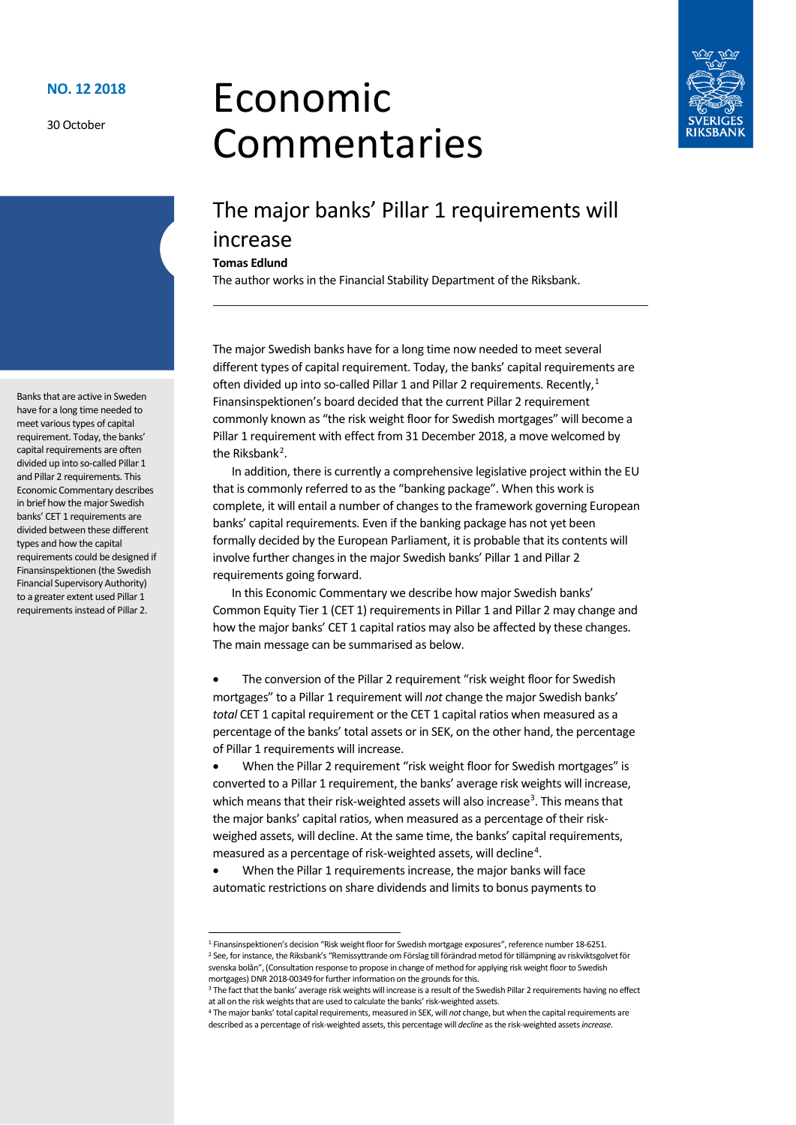30 October

# Economic Commentaries



## The major banks' Pillar 1 requirements will increase

#### **Tomas Edlund**

The author works in the Financial Stability Department of the Riksbank.

The major Swedish banks have for a long time now needed to meet several different types of capital requirement. Today, the banks' capital requirements are often divided up into so-called Pillar [1](#page-0-0) and Pillar 2 requirements. Recently,<sup>1</sup> Finansinspektionen's board decided that the current Pillar 2 requirement commonly known as "the risk weight floor for Swedish mortgages" will become a Pillar 1 requirement with effect from 31 December 2018, a move welcomed by the Riksbank<sup>[2](#page-0-1)</sup>.

In addition, there is currently a comprehensive legislative project within the EU that is commonly referred to as the "banking package". When this work is complete, it will entail a number of changes to the framework governing European banks' capital requirements. Even if the banking package has not yet been formally decided by the European Parliament, it is probable that its contents will involve further changes in the major Swedish banks' Pillar 1 and Pillar 2 requirements going forward.

In this Economic Commentary we describe how major Swedish banks' Common Equity Tier 1 (CET 1) requirements in Pillar 1 and Pillar 2 may change and how the major banks' CET 1 capital ratios may also be affected by these changes. The main message can be summarised as below.

The conversion of the Pillar 2 requirement "risk weight floor for Swedish mortgages" to a Pillar 1 requirement will *not* change the major Swedish banks' *total* CET 1 capital requirement or the CET 1 capital ratios when measured as a percentage of the banks' total assets or in SEK, on the other hand, the percentage of Pillar 1 requirements will increase.

• When the Pillar 2 requirement "risk weight floor for Swedish mortgages" is converted to a Pillar 1 requirement, the banks' average risk weights will increase, which means that their risk-weighted assets will also increase<sup>[3](#page-0-2)</sup>. This means that the major banks' capital ratios, when measured as a percentage of their riskweighed assets, will decline. At the same time, the banks' capital requirements, measured as a percentage of risk-weighted assets, will decline<sup>[4](#page-0-3)</sup>.

• When the Pillar 1 requirements increase, the major banks will face automatic restrictions on share dividends and limits to bonus payments to

Banks that are active in Sweden have for a long time needed to meet various types of capital requirement. Today, the banks' capital requirements are often divided up into so-called Pillar 1 and Pillar 2 requirements. This Economic Commentary describes in brief how the major Swedish banks' CET 1 requirements are divided between these different types and how the capital requirements could be designed if Finansinspektionen (the Swedish Financial Supervisory Authority) to a greater extent used Pillar 1 requirements instead of Pillar 2.

<span id="page-0-1"></span><span id="page-0-0"></span> <sup>1</sup> Finansinspektionen's decision "Risk weight floor for Swedish mortgage exposures", reference number 18-6251. <sup>2</sup> See, for instance, the Riksbank's "Remissyttrande om Förslag till förändrad metod för tillämpning av riskviktsgolvet för svenska bolån", (Consultation response to propose in change of method for applying risk weight floor to Swedish mortgages) DNR 2018-00349 for further information on the grounds for this.

<span id="page-0-2"></span><sup>&</sup>lt;sup>3</sup> The fact that the banks' average risk weights will increase is a result of the Swedish Pillar 2 requirements having no effect at all on the risk weights that are used to calculate the banks' risk-weighted assets.

<span id="page-0-3"></span><sup>4</sup> The major banks' total capital requirements, measured in SEK, will *not* change, but when the capital requirements are described as a percentage of risk-weighted assets, this percentage will *decline* as the risk-weighted assets *increase*.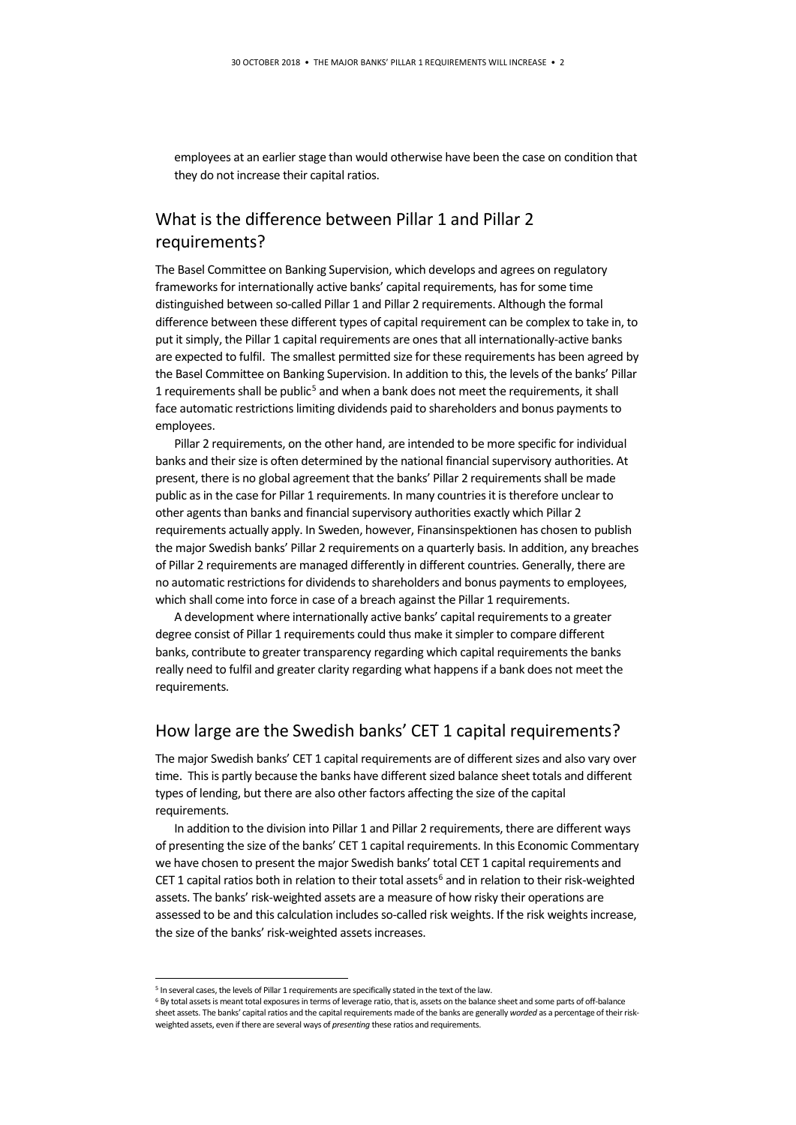employees at an earlier stage than would otherwise have been the case on condition that they do not increase their capital ratios.

#### What is the difference between Pillar 1 and Pillar 2 requirements?

The Basel Committee on Banking Supervision, which develops and agrees on regulatory frameworks for internationally active banks' capital requirements, has for some time distinguished between so-called Pillar 1 and Pillar 2 requirements. Although the formal difference between these different types of capital requirement can be complex to take in, to put it simply, the Pillar 1 capital requirements are ones that all internationally-active banks are expected to fulfil. The smallest permitted size for these requirements has been agreed by the Basel Committee on Banking Supervision. In addition to this, the levels of the banks' Pillar 1 requirements shall be public<sup>[5](#page-1-0)</sup> and when a bank does not meet the requirements, it shall face automatic restrictions limiting dividends paid to shareholders and bonus payments to employees.

Pillar 2 requirements, on the other hand, are intended to be more specific for individual banks and their size is often determined by the national financial supervisory authorities. At present, there is no global agreement that the banks' Pillar 2 requirements shall be made public as in the case for Pillar 1 requirements. In many countries it is therefore unclear to other agents than banks and financial supervisory authorities exactly which Pillar 2 requirements actually apply. In Sweden, however, Finansinspektionen has chosen to publish the major Swedish banks' Pillar 2 requirements on a quarterly basis. In addition, any breaches of Pillar 2 requirements are managed differently in different countries. Generally, there are no automatic restrictions for dividends to shareholders and bonus payments to employees, which shall come into force in case of a breach against the Pillar 1 requirements.

A development where internationally active banks' capital requirements to a greater degree consist of Pillar 1 requirements could thus make it simpler to compare different banks, contribute to greater transparency regarding which capital requirements the banks really need to fulfil and greater clarity regarding what happens if a bank does not meet the requirements.

#### How large are the Swedish banks' CET 1 capital requirements?

The major Swedish banks' CET 1 capital requirements are of different sizes and also vary over time. This is partly because the banks have different sized balance sheet totals and different types of lending, but there are also other factors affecting the size of the capital requirements.

In addition to the division into Pillar 1 and Pillar 2 requirements, there are different ways of presenting the size of the banks' CET 1 capital requirements. In this Economic Commentary we have chosen to present the major Swedish banks' total CET 1 capital requirements and CET 1 capital ratios both in relation to their total assets<sup>[6](#page-1-1)</sup> and in relation to their risk-weighted assets. The banks' risk-weighted assets are a measure of how risky their operations are assessed to be and this calculation includes so-called risk weights. If the risk weights increase, the size of the banks' risk-weighted assets increases.

<span id="page-1-1"></span><span id="page-1-0"></span><sup>&</sup>lt;sup>5</sup> In several cases, the levels of Pillar 1 requirements are specifically stated in the text of the law.

<sup>&</sup>lt;sup>6</sup> By total assets is meant total exposures in terms of leverage ratio, that is, assets on the balance sheet and some parts of off-balance sheet assets. The banks' capital ratios and the capital requirements made of the banks are generally *worded* as a percentage of their riskweighted assets, even if there are several ways of *presenting* these ratios and requirements.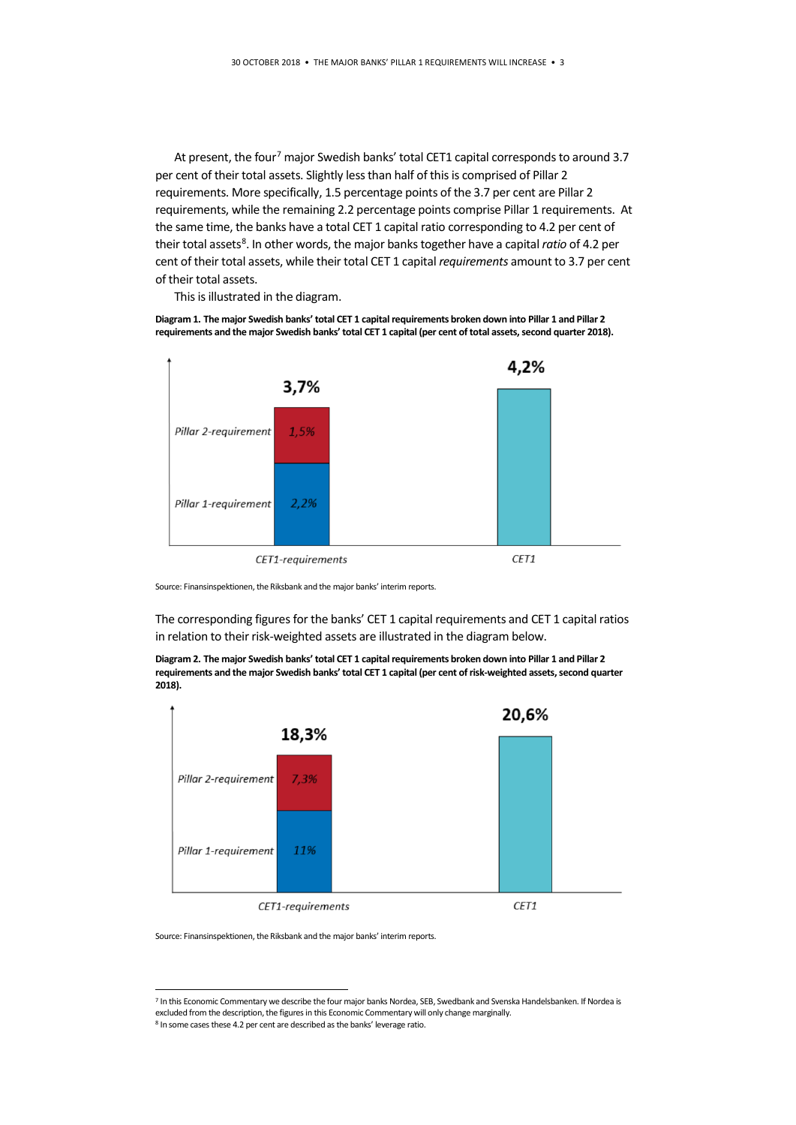At present, the four<sup>[7](#page-2-0)</sup> major Swedish banks' total CET1 capital corresponds to around 3.7 per cent of their total assets. Slightly less than half of this is comprised of Pillar 2 requirements. More specifically, 1.5 percentage points of the 3.7 per cent are Pillar 2 requirements, while the remaining 2.2 percentage points comprise Pillar 1 requirements. At the same time, the banks have a total CET 1 capital ratio corresponding to 4.2 per cent of their total assets<sup>[8](#page-2-1)</sup>. In other words, the major banks together have a capital *ratio* of 4.2 per cent of their total assets, while their total CET 1 capital *requirements* amount to 3.7 per cent of their total assets.

This is illustrated in the diagram.

**Diagram 1. The major Swedish banks' total CET 1 capital requirements broken down into Pillar 1 and Pillar 2 requirements and the major Swedish banks' total CET 1 capital (per cent of total assets, second quarter 2018).**



Source: Finansinspektionen, the Riksbank and the major banks' interim reports.

The corresponding figures for the banks' CET 1 capital requirements and CET 1 capital ratios in relation to their risk-weighted assets are illustrated in the diagram below.

**Diagram 2. The major Swedish banks' total CET 1 capital requirements broken down into Pillar 1 and Pillar 2 requirements and the major Swedish banks' total CET 1 capital (per cent of risk-weighted assets, second quarter 2018).**



Source: Finansinspektionen, the Riksbank and the major banks' interim reports.

<span id="page-2-0"></span> $7$  In this Economic Commentary we describe the four major banks Nordea, SEB, Swedbank and Svenska Handelsbanken. If Nordea is excluded from the description, the figures in this Economic Commentary will only change marginally.

<span id="page-2-1"></span><sup>8</sup> In some cases these 4.2 per cent are described as the banks' leverage ratio.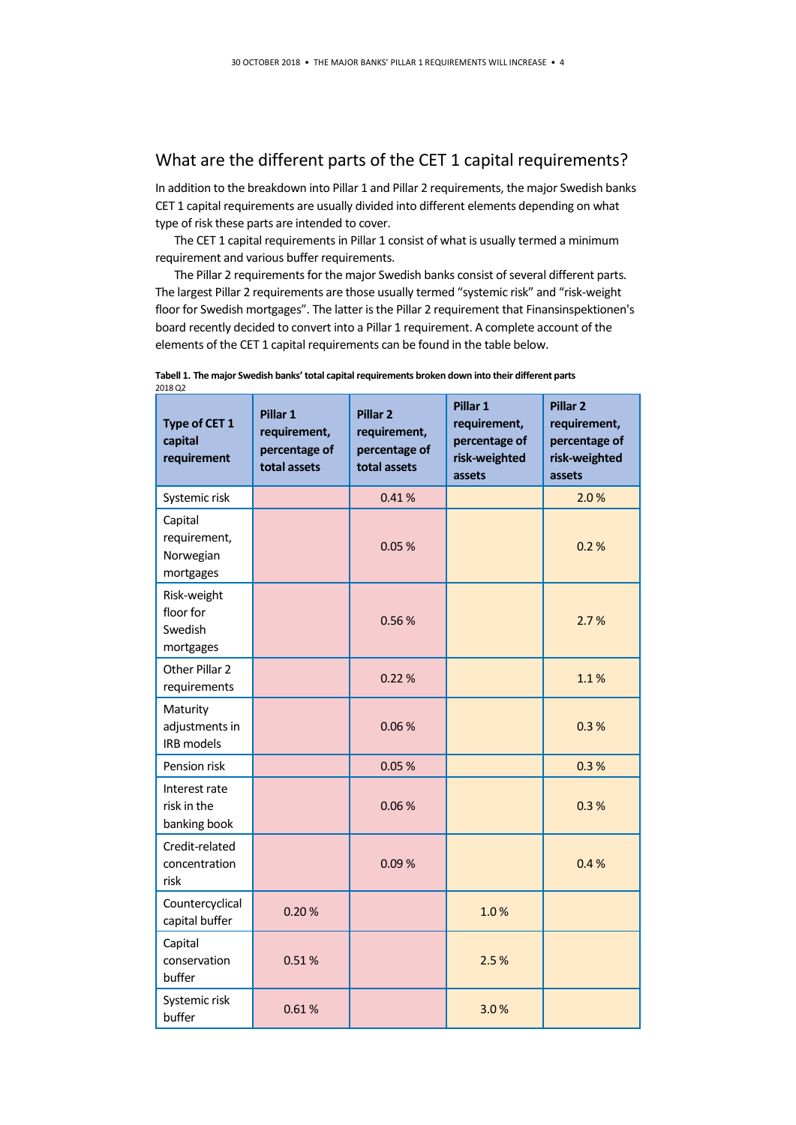#### What are the different parts of the CET 1 capital requirements?

In addition to the breakdown into Pillar 1 and Pillar 2 requirements, the major Swedish banks CET 1 capital requirements are usually divided into different elements depending on what type of risk these parts are intended to cover.

The CET 1 capital requirements in Pillar 1 consist of what is usually termed a minimum requirement and various buffer requirements.

The Pillar 2 requirements for the major Swedish banks consist of several different parts. The largest Pillar 2 requirements are those usually termed "systemic risk" and "risk-weight floor for Swedish mortgages". The latter is the Pillar 2 requirement that Finansinspektionen's board recently decided to convert into a Pillar 1 requirement. A complete account of the elements of the CET 1 capital requirements can be found in the table below.

| Type of CET 1<br>capital<br>requirement           | Pillar 1<br>requirement,<br>percentage of<br>total assets | Pillar <sub>2</sub><br>requirement,<br>percentage of<br>total assets | Pillar 1<br>requirement,<br>percentage of<br>risk-weighted<br>assets | Pillar <sub>2</sub><br>requirement,<br>percentage of<br>risk-weighted<br>assets |
|---------------------------------------------------|-----------------------------------------------------------|----------------------------------------------------------------------|----------------------------------------------------------------------|---------------------------------------------------------------------------------|
| Systemic risk                                     |                                                           | 0.41%                                                                |                                                                      | 2.0%                                                                            |
| Capital<br>requirement,<br>Norwegian<br>mortgages |                                                           | 0.05%                                                                |                                                                      | 0.2%                                                                            |
| Risk-weight<br>floor for<br>Swedish<br>mortgages  |                                                           | 0.56%                                                                |                                                                      | 2.7%                                                                            |
| Other Pillar 2<br>requirements                    |                                                           | 0.22%                                                                |                                                                      | 1.1%                                                                            |
| Maturity<br>adjustments in<br><b>IRB</b> models   |                                                           | 0.06%                                                                |                                                                      | 0.3%                                                                            |
| Pension risk                                      |                                                           | 0.05%                                                                |                                                                      | 0.3%                                                                            |
| Interest rate<br>risk in the<br>banking book      |                                                           | 0.06%                                                                |                                                                      | 0.3%                                                                            |
| Credit-related<br>concentration<br>risk           |                                                           | 0.09%                                                                |                                                                      | 0.4%                                                                            |
| Countercyclical<br>capital buffer                 | 0.20%                                                     |                                                                      | 1.0%                                                                 |                                                                                 |
| Capital<br>conservation<br>buffer                 | 0.51%                                                     |                                                                      | 2.5%                                                                 |                                                                                 |
| Systemic risk<br>buffer                           | 0.61%                                                     |                                                                      | 3.0%                                                                 |                                                                                 |

#### **Tabell 1. The major Swedish banks' total capital requirements broken down into their different parts** 2018 Q2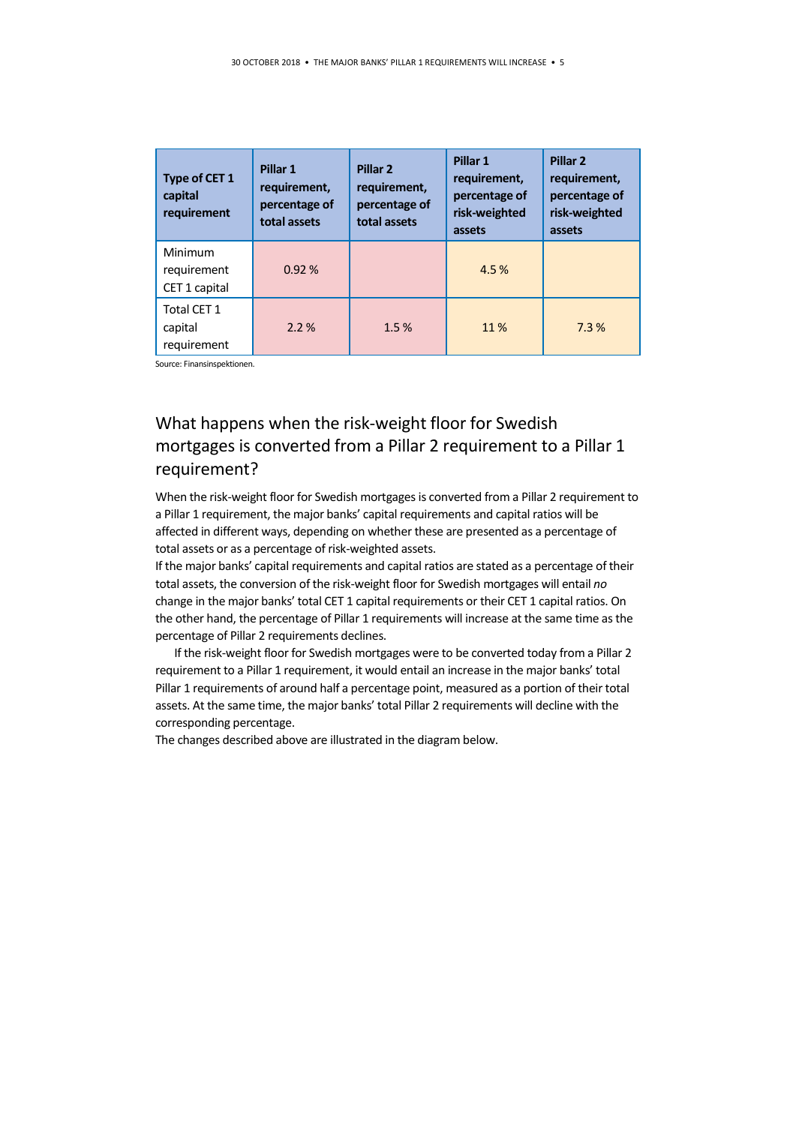| Type of CET 1<br>capital<br>requirement | Pillar 1<br>requirement,<br>percentage of<br>total assets | Pillar <sub>2</sub><br>requirement,<br>percentage of<br>total assets | Pillar 1<br>requirement,<br>percentage of<br>risk-weighted<br>assets | Pillar <sub>2</sub><br>requirement,<br>percentage of<br>risk-weighted<br>assets |
|-----------------------------------------|-----------------------------------------------------------|----------------------------------------------------------------------|----------------------------------------------------------------------|---------------------------------------------------------------------------------|
| Minimum<br>requirement<br>CET 1 capital | 0.92%                                                     |                                                                      | 4.5%                                                                 |                                                                                 |
| Total CET 1<br>capital<br>requirement   | 2.2%                                                      | 1.5%                                                                 | 11%                                                                  | 7.3%                                                                            |

Source: Finansinspektionen.

## What happens when the risk-weight floor for Swedish mortgages is converted from a Pillar 2 requirement to a Pillar 1 requirement?

When the risk-weight floor for Swedish mortgages is converted from a Pillar 2 requirement to a Pillar 1 requirement, the major banks' capital requirements and capital ratios will be affected in different ways, depending on whether these are presented as a percentage of total assets or as a percentage of risk-weighted assets.

If the major banks' capital requirements and capital ratios are stated as a percentage of their total assets, the conversion of the risk-weight floor for Swedish mortgages will entail *no* change in the major banks' total CET 1 capital requirements or their CET 1 capital ratios. On the other hand, the percentage of Pillar 1 requirements will increase at the same time as the percentage of Pillar 2 requirements declines.

If the risk-weight floor for Swedish mortgages were to be converted today from a Pillar 2 requirement to a Pillar 1 requirement, it would entail an increase in the major banks' total Pillar 1 requirements of around half a percentage point, measured as a portion of their total assets. At the same time, the major banks' total Pillar 2 requirements will decline with the corresponding percentage.

The changes described above are illustrated in the diagram below.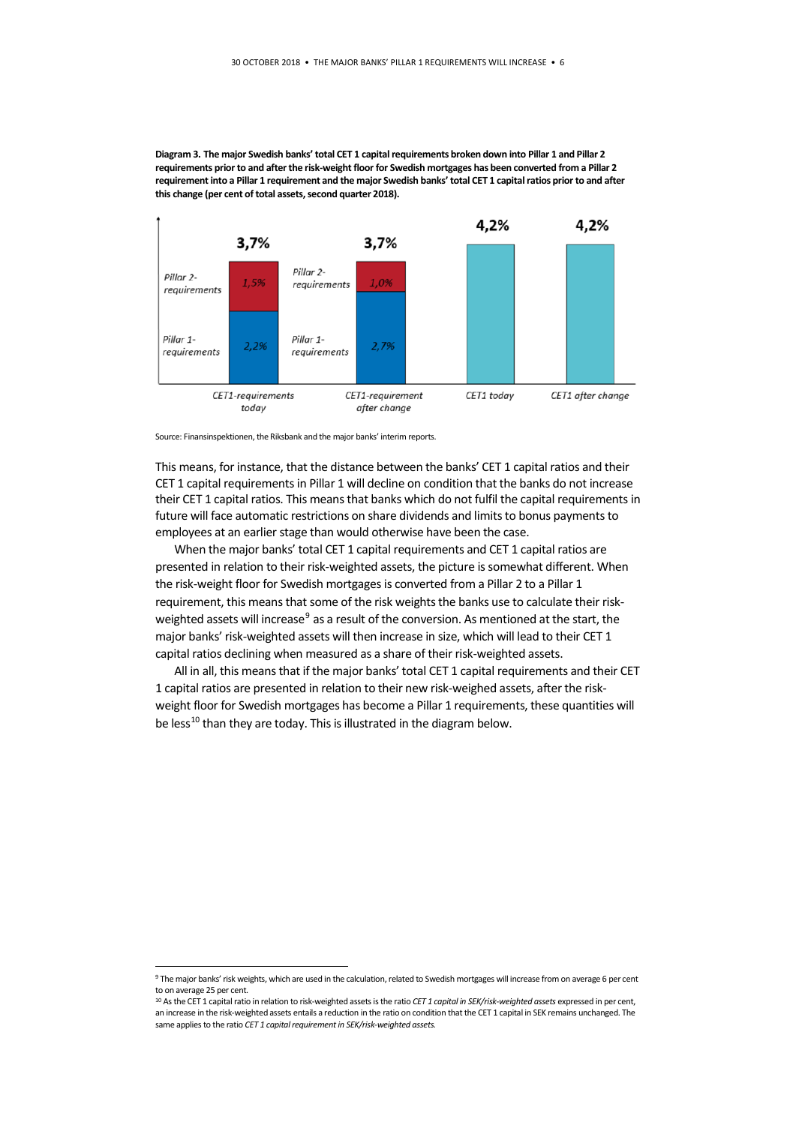**Diagram 3. The major Swedish banks' total CET 1 capital requirements broken down into Pillar 1 and Pillar 2 requirements prior to and after the risk-weight floor for Swedish mortgages has been converted from a Pillar 2 requirement into a Pillar 1 requirement and the major Swedish banks' total CET 1 capital ratios prior to and after this change (per cent of total assets, second quarter 2018).**



Source: Finansinspektionen, the Riksbank and the major banks' interim reports.

This means, for instance, that the distance between the banks' CET 1 capital ratios and their CET 1 capital requirements in Pillar 1 will decline on condition that the banks do not increase their CET 1 capital ratios. This means that banks which do not fulfil the capital requirements in future will face automatic restrictions on share dividends and limits to bonus payments to employees at an earlier stage than would otherwise have been the case.

When the major banks' total CET 1 capital requirements and CET 1 capital ratios are presented in relation to their risk-weighted assets, the picture is somewhat different. When the risk-weight floor for Swedish mortgages is converted from a Pillar 2 to a Pillar 1 requirement, this means that some of the risk weights the banks use to calculate their risk-weighted assets will increase<sup>[9](#page-5-0)</sup> as a result of the conversion. As mentioned at the start, the major banks' risk-weighted assets will then increase in size, which will lead to their CET 1 capital ratios declining when measured as a share of their risk-weighted assets.

All in all, this means that if the major banks' total CET 1 capital requirements and their CET 1 capital ratios are presented in relation to their new risk-weighed assets, after the riskweight floor for Swedish mortgages has become a Pillar 1 requirements, these quantities will be less<sup>[10](#page-5-1)</sup> than they are today. This is illustrated in the diagram below.

<span id="page-5-0"></span> <sup>9</sup> The major banks' risk weights, which are used in the calculation, related to Swedish mortgages will increase from on average 6 per cent to on average 25 per cent.

<span id="page-5-1"></span><sup>10</sup> As the CET 1 capital ratio in relation to risk-weighted assets is the ratio *CET 1 capital in SEK/risk-weighted assets* expressed in per cent, an increase in the risk-weighted assets entails a reduction in the ratio on condition that the CET 1 capital in SEK remains unchanged. The same applies to the ratio *CET 1 capital requirement in SEK/risk-weighted assets.*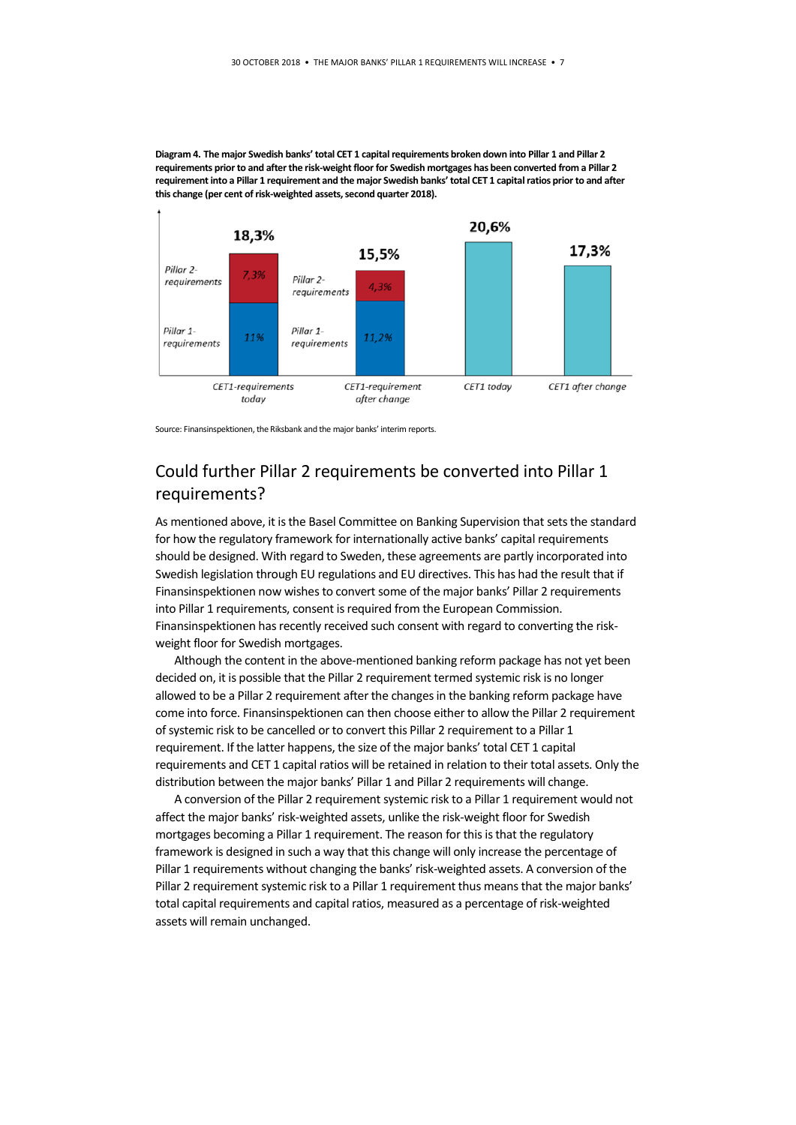**Diagram 4. The major Swedish banks' total CET 1 capital requirements broken down into Pillar 1 and Pillar 2 requirements prior to and after the risk-weight floor for Swedish mortgages has been converted from a Pillar 2 requirement into a Pillar 1 requirement and the major Swedish banks' total CET 1 capital ratios prior to and after this change (per cent of risk-weighted assets, second quarter 2018).**



Source: Finansinspektionen, the Riksbank and the major banks' interim reports.

### Could further Pillar 2 requirements be converted into Pillar 1 requirements?

As mentioned above, it is the Basel Committee on Banking Supervision that sets the standard for how the regulatory framework for internationally active banks' capital requirements should be designed. With regard to Sweden, these agreements are partly incorporated into Swedish legislation through EU regulations and EU directives. This has had the result that if Finansinspektionen now wishes to convert some of the major banks' Pillar 2 requirements into Pillar 1 requirements, consent is required from the European Commission. Finansinspektionen has recently received such consent with regard to converting the riskweight floor for Swedish mortgages.

Although the content in the above-mentioned banking reform package has not yet been decided on, it is possible that the Pillar 2 requirement termed systemic risk is no longer allowed to be a Pillar 2 requirement after the changes in the banking reform package have come into force. Finansinspektionen can then choose either to allow the Pillar 2 requirement of systemic risk to be cancelled or to convert this Pillar 2 requirement to a Pillar 1 requirement. If the latter happens, the size of the major banks' total CET 1 capital requirements and CET 1 capital ratios will be retained in relation to their total assets. Only the distribution between the major banks' Pillar 1 and Pillar 2 requirements will change.

A conversion of the Pillar 2 requirement systemic risk to a Pillar 1 requirement would not affect the major banks' risk-weighted assets, unlike the risk-weight floor for Swedish mortgages becoming a Pillar 1 requirement. The reason for this is that the regulatory framework is designed in such a way that this change will only increase the percentage of Pillar 1 requirements without changing the banks' risk-weighted assets. A conversion of the Pillar 2 requirement systemic risk to a Pillar 1 requirement thus means that the major banks' total capital requirements and capital ratios, measured as a percentage of risk-weighted assets will remain unchanged.